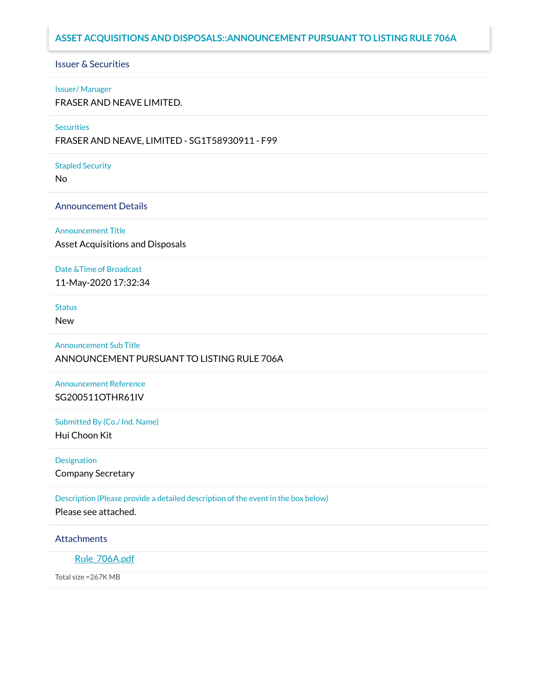# **ASSET ACQUISITIONS AND DISPOSALS::ANNOUNCEMENT PURSUANT TO LISTING RULE 706A**

# Issuer & Securities

#### Issuer/ Manager

FRASER AND NEAVE LIMITED.

#### **Securities**

FRASER AND NEAVE, LIMITED - SG1T58930911 - F99

#### Stapled Security

No

## Announcement Details

Announcement Title

Asset Acquisitions and Disposals

#### Date &Time of Broadcast

11-May-2020 17:32:34

## **Status**

New

Announcement Sub Title ANNOUNCEMENT PURSUANT TO LISTING RULE 706A

Announcement Reference SG200511OTHR61IV

Submitted By (Co./ Ind. Name) Hui Choon Kit

Designation

Company Secretary

Description (Please provide a detailed description of the event in the box below)

Please see attached.

### **Attachments**

Rule 706A.pdf

Total size =267K MB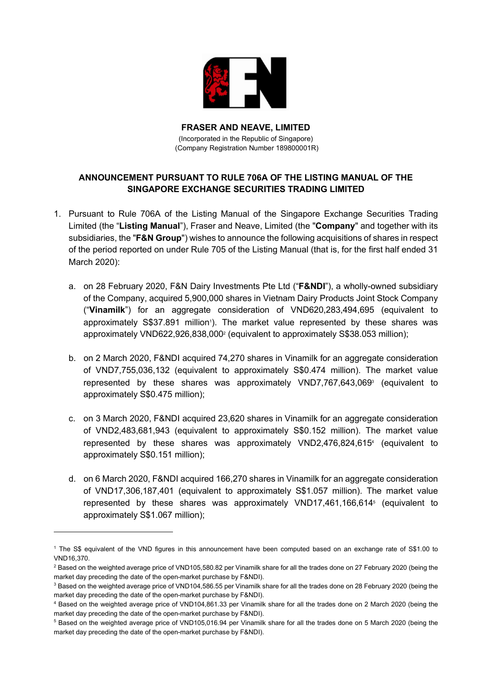

FRASER AND NEAVE, LIMITED (Incorporated in the Republic of Singapore) (Company Registration Number 189800001R)

# ANNOUNCEMENT PURSUANT TO RULE 706A OF THE LISTING MANUAL OF THE SINGAPORE EXCHANGE SECURITIES TRADING LIMITED

- 1. Pursuant to Rule 706A of the Listing Manual of the Singapore Exchange Securities Trading Limited (the "Listing Manual"), Fraser and Neave, Limited (the "Company" and together with its subsidiaries, the "F&N Group") wishes to announce the following acquisitions of shares in respect of the period reported on under Rule 705 of the Listing Manual (that is, for the first half ended 31 March 2020):
	- a. on 28 February 2020, F&N Dairy Investments Pte Ltd ("F&NDI"), a wholly-owned subsidiary of the Company, acquired 5,900,000 shares in Vietnam Dairy Products Joint Stock Company ("Vinamilk") for an aggregate consideration of VND620,283,494,695 (equivalent to approximately S\$37.891 million<sup>1</sup>). The market value represented by these shares was approximately VND622,926,838,000<sup>2</sup> (equivalent to approximately S\$38.053 million);
	- b. on 2 March 2020, F&NDI acquired 74,270 shares in Vinamilk for an aggregate consideration of VND7,755,036,132 (equivalent to approximately S\$0.474 million). The market value represented by these shares was approximately VND7,767,643,069<sup>3</sup> (equivalent to approximately S\$0.475 million);
	- c. on 3 March 2020, F&NDI acquired 23,620 shares in Vinamilk for an aggregate consideration of VND2,483,681,943 (equivalent to approximately S\$0.152 million). The market value represented by these shares was approximately VND2,476,824,615<sup>4</sup> (equivalent to approximately S\$0.151 million);
	- d. on 6 March 2020, F&NDI acquired 166,270 shares in Vinamilk for an aggregate consideration of VND17,306,187,401 (equivalent to approximately S\$1.057 million). The market value represented by these shares was approximately VND17,461,166,614<sup>5</sup> (equivalent to approximately S\$1.067 million);

<sup>1</sup> The S\$ equivalent of the VND figures in this announcement have been computed based on an exchange rate of S\$1.00 to VND16,370.

 $^2$  Based on the weighted average price of VND105,580.82 per Vinamilk share for all the trades done on 27 February 2020 (being the market day preceding the date of the open-market purchase by F&NDI).

<sup>&</sup>lt;sup>3</sup> Based on the weighted average price of VND104,586.55 per Vinamilk share for all the trades done on 28 February 2020 (being the market day preceding the date of the open-market purchase by F&NDI).

<sup>4</sup> Based on the weighted average price of VND104,861.33 per Vinamilk share for all the trades done on 2 March 2020 (being the market day preceding the date of the open-market purchase by F&NDI).

<sup>&</sup>lt;sup>5</sup> Based on the weighted average price of VND105,016.94 per Vinamilk share for all the trades done on 5 March 2020 (being the market day preceding the date of the open-market purchase by F&NDI).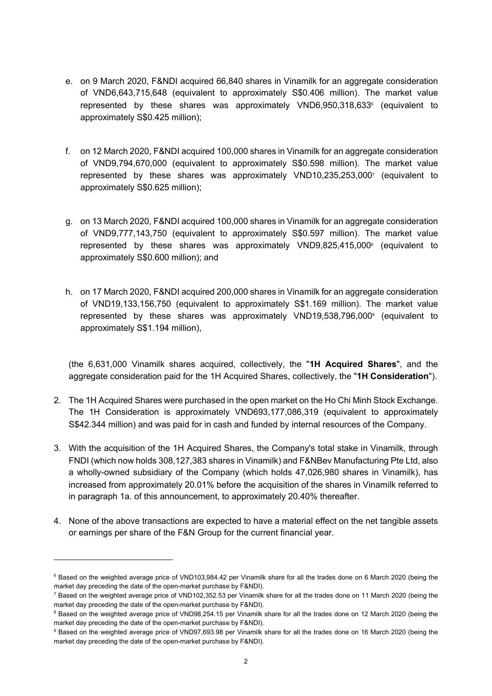- e. on 9 March 2020, F&NDI acquired 66,840 shares in Vinamilk for an aggregate consideration of VND6,643,715,648 (equivalent to approximately S\$0.406 million). The market value represented by these shares was approximately VND6,950,318,633<sup>6</sup> (equivalent to approximately S\$0.425 million);
- f. on 12 March 2020, F&NDI acquired 100,000 shares in Vinamilk for an aggregate consideration of VND9,794,670,000 (equivalent to approximately S\$0.598 million). The market value represented by these shares was approximately VND10,235,253,000<sup>7</sup> (equivalent to approximately S\$0.625 million);
- g. on 13 March 2020, F&NDI acquired 100,000 shares in Vinamilk for an aggregate consideration of VND9,777,143,750 (equivalent to approximately S\$0.597 million). The market value represented by these shares was approximately VND9,825,415,000<sup>8</sup> (equivalent to approximately S\$0.600 million); and
- h. on 17 March 2020, F&NDI acquired 200,000 shares in Vinamilk for an aggregate consideration of VND19,133,156,750 (equivalent to approximately S\$1.169 million). The market value represented by these shares was approximately VND19,538,796,000<sup>9</sup> (equivalent to approximately S\$1.194 million),

(the 6,631,000 Vinamilk shares acquired, collectively, the "1H Acquired Shares", and the aggregate consideration paid for the 1H Acquired Shares, collectively, the "1H Consideration").

- 2. The 1H Acquired Shares were purchased in the open market on the Ho Chi Minh Stock Exchange. The 1H Consideration is approximately VND693,177,086,319 (equivalent to approximately S\$42.344 million) and was paid for in cash and funded by internal resources of the Company.
- 3. With the acquisition of the 1H Acquired Shares, the Company's total stake in Vinamilk, through FNDI (which now holds 308,127,383 shares in Vinamilk) and F&NBev Manufacturing Pte Ltd, also a wholly-owned subsidiary of the Company (which holds 47,026,980 shares in Vinamilk), has increased from approximately 20.01% before the acquisition of the shares in Vinamilk referred to in paragraph 1a. of this announcement, to approximately 20.40% thereafter.
- 4. None of the above transactions are expected to have a material effect on the net tangible assets or earnings per share of the F&N Group for the current financial year.

<sup>&</sup>lt;sup>6</sup> Based on the weighted average price of VND103,984.42 per Vinamilk share for all the trades done on 6 March 2020 (being the market day preceding the date of the open-market purchase by F&NDI).

 $^7$  Based on the weighted average price of VND102,352.53 per Vinamilk share for all the trades done on 11 March 2020 (being the market day preceding the date of the open-market purchase by F&NDI).

<sup>&</sup>lt;sup>8</sup> Based on the weighted average price of VND98,254.15 per Vinamilk share for all the trades done on 12 March 2020 (being the market day preceding the date of the open-market purchase by F&NDI).

<sup>&</sup>lt;sup>9</sup> Based on the weighted average price of VND97,693.98 per Vinamilk share for all the trades done on 16 March 2020 (being the market day preceding the date of the open-market purchase by F&NDI).